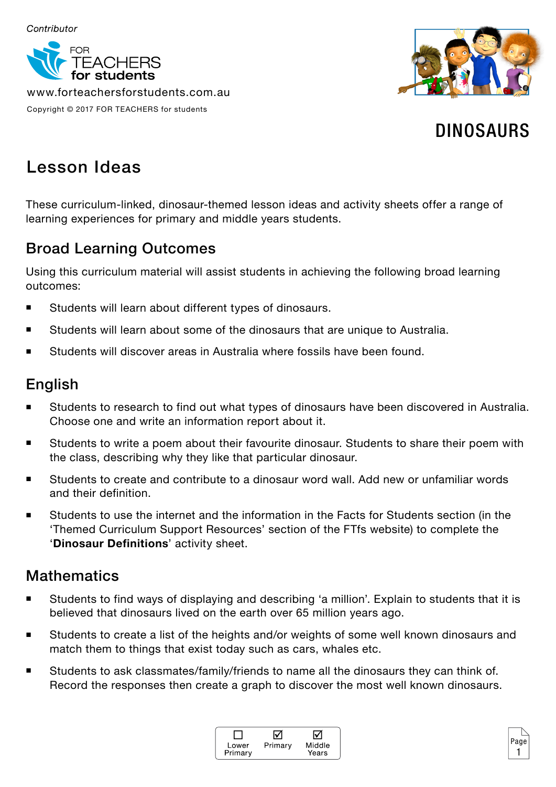

www.forteachersforstudents.com.au Copyright © 2017 FOR TEACHERS for students



# DINOSAURS

# Lesson Ideas

These curriculum-linked, dinosaur-themed lesson ideas and activity sheets offer a range of learning experiences for primary and middle years students.

## Broad Learning Outcomes

Using this curriculum material will assist students in achieving the following broad learning outcomes:

- Students will learn about different types of dinosaurs.
- Students will learn about some of the dinosaurs that are unique to Australia.
- Students will discover areas in Australia where fossils have been found.

### English

- Students to research to find out what types of dinosaurs have been discovered in Australia. Choose one and write an information report about it.
- **Students to write a poem about their favourite dinosaur. Students to share their poem with** the class, describing why they like that particular dinosaur.
- Students to create and contribute to a dinosaur word wall. Add new or unfamiliar words and their definition.
- Students to use the internet and the information in the Facts for Students section (in the 'Themed Curriculum Support Resources' section of the FTfs website) to complete the '**Dinosaur Definitions**' activity sheet.

### **Mathematics**

- Students to find ways of displaying and describing 'a million'. Explain to students that it is believed that dinosaurs lived on the earth over 65 million years ago.
- Students to create a list of the heights and/or weights of some well known dinosaurs and match them to things that exist today such as cars, whales etc.
- Students to ask classmates/family/friends to name all the dinosaurs they can think of. Record the responses then create a graph to discover the most well known dinosaurs.



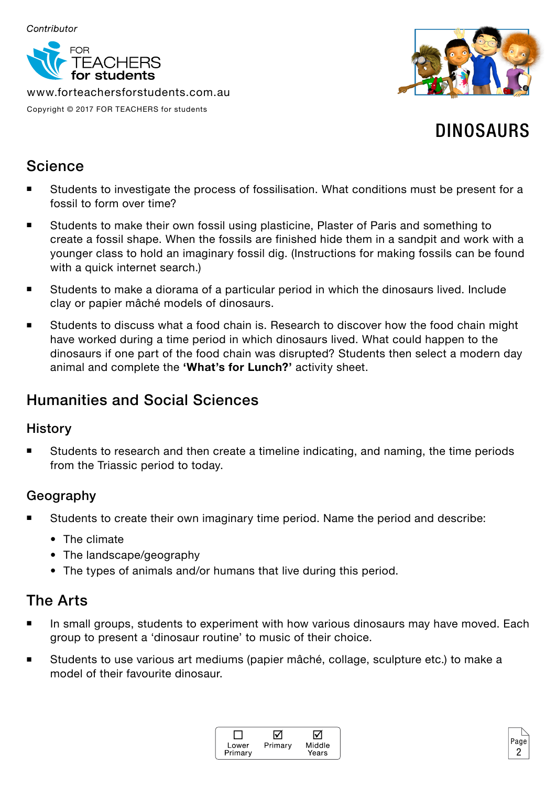

www.forteachersforstudents.com.au Copyright © 2017 FOR TEACHERS for students



# DINOSAURS

### Science

- Students to investigate the process of fossilisation. What conditions must be present for a fossil to form over time?
- Students to make their own fossil using plasticine, Plaster of Paris and something to create a fossil shape. When the fossils are finished hide them in a sandpit and work with a younger class to hold an imaginary fossil dig. (Instructions for making fossils can be found with a quick internet search.)
- Students to make a diorama of a particular period in which the dinosaurs lived. Include clay or papier mâché models of dinosaurs.
- Students to discuss what a food chain is. Research to discover how the food chain might have worked during a time period in which dinosaurs lived. What could happen to the dinosaurs if one part of the food chain was disrupted? Students then select a modern day animal and complete the **'What's for Lunch?'** activity sheet.

### Humanities and Social Sciences

#### **History**

 Students to research and then create a timeline indicating, and naming, the time periods from the Triassic period to today.

### Geography

- Students to create their own imaginary time period. Name the period and describe:
	- The climate
	- The landscape/geography
	- The types of animals and/or humans that live during this period.

### The Arts

- In small groups, students to experiment with how various dinosaurs may have moved. Each group to present a 'dinosaur routine' to music of their choice.
- Students to use various art mediums (papier mâché, collage, sculpture etc.) to make a model of their favourite dinosaur.